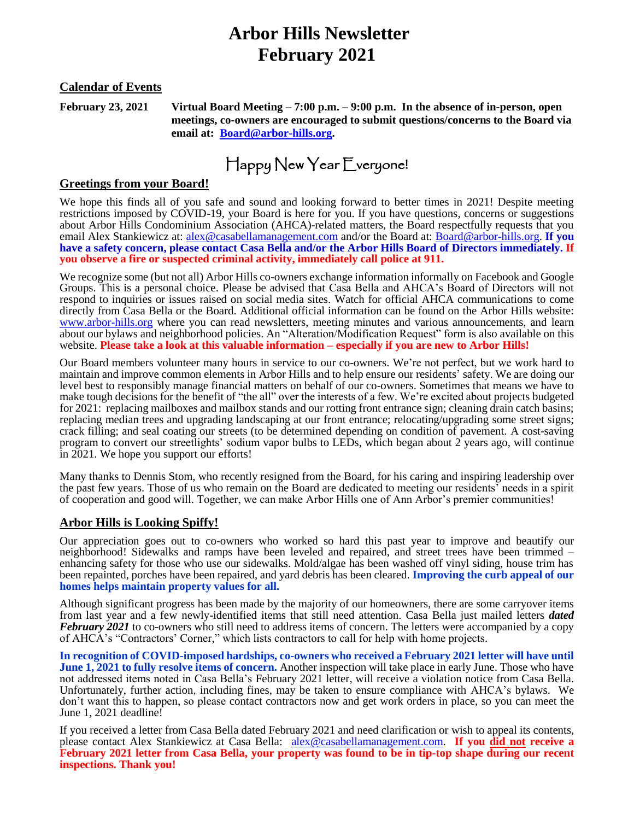# **Arbor Hills Newsletter February 2021**

#### **Calendar of Events**

**February 23, 2021 Virtual Board Meeting – 7:00 p.m. – 9:00 p.m. In the absence of in-person, open meetings, co-owners are encouraged to submit questions/concerns to the Board via email at: [Board@arbor-hills.org.](mailto:Board@arbor-hills.org)** 

Happy New Year Everyone!

#### **Greetings from your Board!**

We hope this finds all of you safe and sound and looking forward to better times in 2021! Despite meeting restrictions imposed by COVID-19, your Board is here for you. If you have questions, concerns or suggestions about Arbor Hills Condominium Association (AHCA)-related matters, the Board respectfully requests that you email Alex Stankiewicz at: [alex@casabellamanagement.com](mailto:alex@casabellamanagement.com) and/or the Board at: [Board@arbor-hills.org.](mailto:Board@arbor-hills.org) **If you have a safety concern, please contact Casa Bella and/or the Arbor Hills Board of Directors immediately. If you observe a fire or suspected criminal activity, immediately call police at 911.**

We recognize some (but not all) Arbor Hills co-owners exchange information informally on Facebook and Google Groups. This is a personal choice. Please be advised that Casa Bella and AHCA's Board of Directors will not respond to inquiries or issues raised on social media sites. Watch for official AHCA communications to come directly from Casa Bella or the Board. Additional official information can be found on the Arbor Hills website: [www.arbor-hills.org](http://www.arbor-hills.org/) where you can read newsletters, meeting minutes and various announcements, and learn about our bylaws and neighborhood policies. An "Alteration/Modification Request" form is also available on this website. **Please take a look at this valuable information – especially if you are new to Arbor Hills!**

Our Board members volunteer many hours in service to our co-owners. We're not perfect, but we work hard to maintain and improve common elements in Arbor Hills and to help ensure our residents' safety. We are doing our level best to responsibly manage financial matters on behalf of our co-owners. Sometimes that means we have to make tough decisions for the benefit of "the all" over the interests of a few. We're excited about projects budgeted for 2021: replacing mailboxes and mailbox stands and our rotting front entrance sign; cleaning drain catch basins; replacing median trees and upgrading landscaping at our front entrance; relocating/upgrading some street signs; crack filling; and seal coating our streets (to be determined depending on condition of pavement. A cost-saving program to convert our streetlights' sodium vapor bulbs to LEDs, which began about 2 years ago, will continue in 2021. We hope you support our efforts!

Many thanks to Dennis Stom, who recently resigned from the Board, for his caring and inspiring leadership over the past few years. Those of us who remain on the Board are dedicated to meeting our residents' needs in a spirit of cooperation and good will. Together, we can make Arbor Hills one of Ann Arbor's premier communities!

#### **Arbor Hills is Looking Spiffy!**

Our appreciation goes out to co-owners who worked so hard this past year to improve and beautify our neighborhood! Sidewalks and ramps have been leveled and repaired, and street trees have been trimmed – enhancing safety for those who use our sidewalks. Mold/algae has been washed off vinyl siding, house trim has been repainted, porches have been repaired, and yard debris has been cleared. **Improving the curb appeal of our homes helps maintain property values for all.**

Although significant progress has been made by the majority of our homeowners, there are some carryover items from last year and a few newly-identified items that still need attention. Casa Bella just mailed letters *dated February 2021* to co-owners who still need to address items of concern. The letters were accompanied by a copy of AHCA's "Contractors' Corner," which lists contractors to call for help with home projects.

In recognition of COVID-imposed hardships, co-owners who received a February 2021 letter will have until **June 1, 2021 to fully resolve items of concern.** Another inspection will take place in early June. Those who have not addressed items noted in Casa Bella's February 2021 letter, will receive a violation notice from Casa Bella. Unfortunately, further action, including fines, may be taken to ensure compliance with AHCA's bylaws. We don't want this to happen, so please contact contractors now and get work orders in place, so you can meet the June 1, 2021 deadline!

If you received a letter from Casa Bella dated February 2021 and need clarification or wish to appeal its contents, please contact Alex Stankiewicz at Casa Bella: [alex@casabellamanagement.com.](mailto:alex@casabellamanagement.com) **If you did not receive a February 2021 letter from Casa Bella, your property was found to be in tip-top shape during our recent inspections. Thank you!**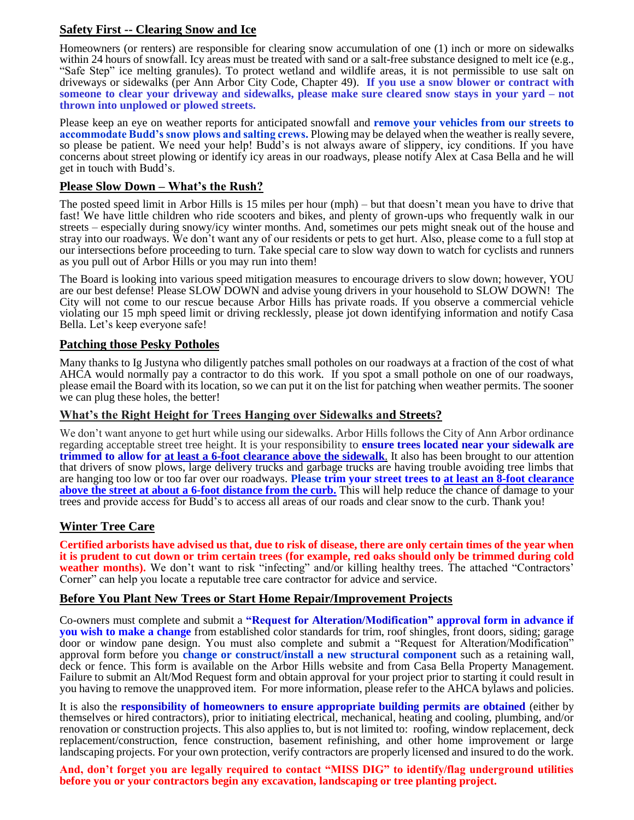## **Safety First -- Clearing Snow and Ice**

Homeowners (or renters) are responsible for clearing snow accumulation of one (1) inch or more on sidewalks within 24 hours of snowfall. Icy areas must be treated with sand or a salt-free substance designed to melt ice (e.g., "Safe Step" ice melting granules). To protect wetland and wildlife areas, it is not permissible to use salt on driveways or sidewalks (per Ann Arbor City Code, Chapter 49). **If you use a snow blower or contract with** someone to clear your driveway and sidewalks, please make sure cleared snow stays in your yard – not **thrown into unplowed or plowed streets.** 

Please keep an eye on weather reports for anticipated snowfall and **remove your vehicles from our streets to accommodate Budd's snow plows and salting crews.** Plowing may be delayed when the weather is really severe, so please be patient. We need your help! Budd's is not always aware of slippery, icy conditions. If you have concerns about street plowing or identify icy areas in our roadways, please notify Alex at Casa Bella and he will get in touch with Budd's.

## **Please Slow Down – What's the Rush?**

The posted speed limit in Arbor Hills is 15 miles per hour (mph) – but that doesn't mean you have to drive that fast! We have little children who ride scooters and bikes, and plenty of grown-ups who frequently walk in our streets – especially during snowy/icy winter months. And, sometimes our pets might sneak out of the house and stray into our roadways. We don't want any of our residents or pets to get hurt. Also, please come to a full stop at our intersections before proceeding to turn. Take special care to slow way down to watch for cyclists and runners as you pull out of Arbor Hills or you may run into them!

The Board is looking into various speed mitigation measures to encourage drivers to slow down; however, YOU are our best defense! Please SLOW DOWN and advise young drivers in your household to SLOW DOWN! The City will not come to our rescue because Arbor Hills has private roads. If you observe a commercial vehicle violating our 15 mph speed limit or driving recklessly, please jot down identifying information and notify Casa Bella. Let's keep everyone safe!

## **Patching those Pesky Potholes**

Many thanks to Ig Justyna who diligently patches small potholes on our roadways at a fraction of the cost of what AHCA would normally pay a contractor to do this work. If you spot a small pothole on one of our roadways, please email the Board with its location, so we can put it on the list for patching when weather permits. The sooner we can plug these holes, the better!

## **What's the Right Height for Trees Hanging over Sidewalks and Streets?**

We don't want anyone to get hurt while using our sidewalks. Arbor Hills follows the City of Ann Arbor ordinance regarding acceptable street tree height. It is your responsibility to **ensure trees located near your sidewalk are trimmed to allow for at least a 6-foot clearance above the sidewalk**. It also has been brought to our attention that drivers of snow plows, large delivery trucks and garbage trucks are having trouble avoiding tree limbs that are hanging too low or too far over our roadways. **Please trim your street trees to at least an 8-foot clearance above the street at about a 6-foot distance from the curb.** This will help reduce the chance of damage to your trees and provide access for Budd's to access all areas of our roads and clear snow to the curb. Thank you!

## **Winter Tree Care**

**Certified arborists have advised us that, due to risk of disease, there are only certain times of the year when it is prudent to cut down or trim certain trees (for example, red oaks should only be trimmed during cold**  weather months). We don't want to risk "infecting" and/or killing healthy trees. The attached "Contractors' Corner" can help you locate a reputable tree care contractor for advice and service.

## **Before You Plant New Trees or Start Home Repair/Improvement Projects**

Co-owners must complete and submit a **"Request for Alteration/Modification" approval form in advance if you wish to make a change** from established color standards for trim, roof shingles, front doors, siding; garage door or window pane design. You must also complete and submit a "Request for Alteration/Modification" approval form before you **change or construct/install a new structural component** such as a retaining wall, deck or fence. This form is available on the Arbor Hills website and from Casa Bella Property Management. Failure to submit an Alt/Mod Request form and obtain approval for your project prior to starting it could result in you having to remove the unapproved item. For more information, please refer to the AHCA bylaws and policies.

It is also the **responsibility of homeowners to ensure appropriate building permits are obtained** (either by themselves or hired contractors), prior to initiating electrical, mechanical, heating and cooling, plumbing, and/or renovation or construction projects. This also applies to, but is not limited to: roofing, window replacement, deck replacement/construction, fence construction, basement refinishing, and other home improvement or large landscaping projects. For your own protection, verify contractors are properly licensed and insured to do the work.

**And, don't forget you are legally required to contact "MISS DIG" to identify/flag underground utilities before you or your contractors begin any excavation, landscaping or tree planting project.**